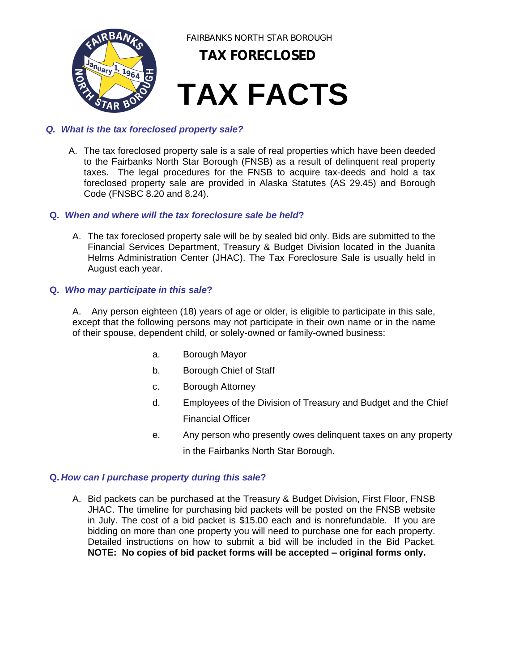

#### *Q. What is the tax foreclosed property sale?*

A. The tax foreclosed property sale is a sale of real properties which have been deeded to the Fairbanks North Star Borough (FNSB) as a result of delinquent real property taxes. The legal procedures for the FNSB to acquire tax-deeds and hold a tax foreclosed property sale are provided in Alaska Statutes (AS 29.45) and Borough Code (FNSBC 8.20 and 8.24).

#### **Q.** *When and where will the tax foreclosure sale be held***?**

A. The tax foreclosed property sale will be by sealed bid only. Bids are submitted to the Financial Services Department, Treasury & Budget Division located in the Juanita Helms Administration Center (JHAC). The Tax Foreclosure Sale is usually held in August each year.

#### **Q.** *Who may participate in this sale***?**

A. Any person eighteen (18) years of age or older, is eligible to participate in this sale, except that the following persons may not participate in their own name or in the name of their spouse, dependent child, or solely-owned or family-owned business:

- a. Borough Mayor
- b. Borough Chief of Staff
- c. Borough Attorney
- d. Employees of the Division of Treasury and Budget and the Chief Financial Officer
- e. Any person who presently owes delinquent taxes on any property in the Fairbanks North Star Borough.

#### **Q.** *How can I purchase property during this sale***?**

A. Bid packets can be purchased at the Treasury & Budget Division, First Floor, FNSB JHAC. The timeline for purchasing bid packets will be posted on the FNSB website in July. The cost of a bid packet is \$15.00 each and is nonrefundable. If you are bidding on more than one property you will need to purchase one for each property. Detailed instructions on how to submit a bid will be included in the Bid Packet. **NOTE: No copies of bid packet forms will be accepted – original forms only.**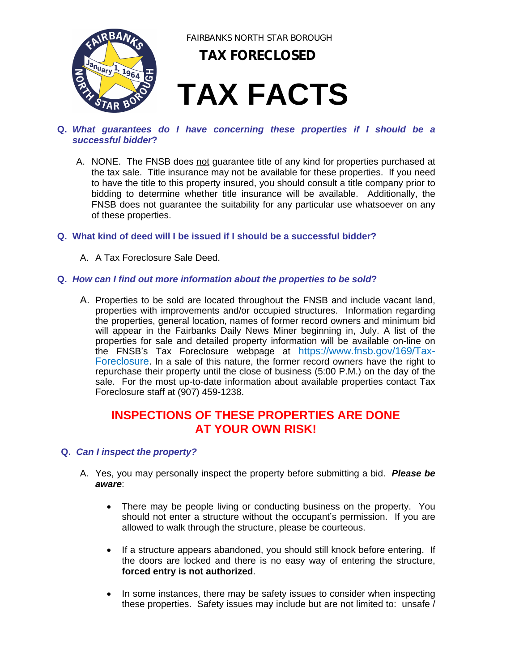

FAIRBANKS NORTH STAR BOROUGH

### **TAX FORECLOSED**

## **TAX FACTS**

- **Q.** *What guarantees do I have concerning these properties if I should be a successful bidder***?**
	- A. NONE. The FNSB does not guarantee title of any kind for properties purchased at the tax sale. Title insurance may not be available for these properties. If you need to have the title to this property insured, you should consult a title company prior to bidding to determine whether title insurance will be available. Additionally, the FNSB does not guarantee the suitability for any particular use whatsoever on any of these properties.
- **Q. What kind of deed will I be issued if I should be a successful bidder?**
	- A. A Tax Foreclosure Sale Deed.

#### **Q.** *How can I find out more information about the properties to be sold***?**

A. Properties to be sold are located throughout the FNSB and include vacant land, properties with improvements and/or occupied structures. Information regarding the properties, general location, names of former record owners and minimum bid will appear in the Fairbanks Daily News Miner beginning in, July. A list of the properties for sale and detailed property information will be available on-line on the FNSB's Tax Foreclosure webpage at https://www.fnsb.gov/169/Tax-Foreclosure. In a sale of this nature, the former record owners have the right to repurchase their property until the close of business (5:00 P.M.) on the day of the sale. For the most up-to-date information about available properties contact Tax Foreclosure staff at (907) 459-1238.

### **INSPECTIONS OF THESE PROPERTIES ARE DONE AT YOUR OWN RISK!**

#### **Q.** *Can I inspect the property?*

- A. Yes, you may personally inspect the property before submitting a bid. *Please be aware*:
	- There may be people living or conducting business on the property. You should not enter a structure without the occupant's permission. If you are allowed to walk through the structure, please be courteous.
	- If a structure appears abandoned, you should still knock before entering. If the doors are locked and there is no easy way of entering the structure, **forced entry is not authorized**.
	- In some instances, there may be safety issues to consider when inspecting these properties. Safety issues may include but are not limited to: unsafe /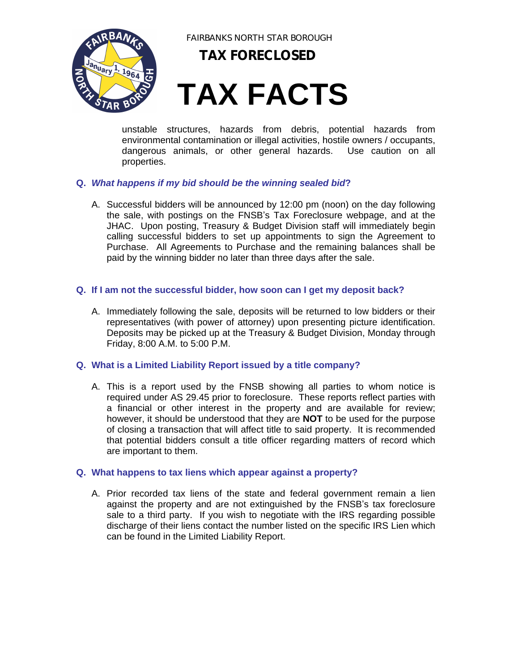

FAIRBANKS NORTH STAR BOROUGH

**TAX FORECLOSED**

# **TAX FACTS**

unstable structures, hazards from debris, potential hazards from environmental contamination or illegal activities, hostile owners / occupants, dangerous animals, or other general hazards. Use caution on all properties.

#### **Q.** *What happens if my bid should be the winning sealed bid***?**

A. Successful bidders will be announced by 12:00 pm (noon) on the day following the sale, with postings on the FNSB's Tax Foreclosure webpage, and at the JHAC. Upon posting, Treasury & Budget Division staff will immediately begin calling successful bidders to set up appointments to sign the Agreement to Purchase. All Agreements to Purchase and the remaining balances shall be paid by the winning bidder no later than three days after the sale.

#### **Q. If I am not the successful bidder, how soon can I get my deposit back?**

A. Immediately following the sale, deposits will be returned to low bidders or their representatives (with power of attorney) upon presenting picture identification. Deposits may be picked up at the Treasury & Budget Division, Monday through Friday, 8:00 A.M. to 5:00 P.M.

#### **Q. What is a Limited Liability Report issued by a title company?**

A. This is a report used by the FNSB showing all parties to whom notice is required under AS 29.45 prior to foreclosure. These reports reflect parties with a financial or other interest in the property and are available for review; however, it should be understood that they are **NOT** to be used for the purpose of closing a transaction that will affect title to said property. It is recommended that potential bidders consult a title officer regarding matters of record which are important to them.

#### **Q. What happens to tax liens which appear against a property?**

A. Prior recorded tax liens of the state and federal government remain a lien against the property and are not extinguished by the FNSB's tax foreclosure sale to a third party. If you wish to negotiate with the IRS regarding possible discharge of their liens contact the number listed on the specific IRS Lien which can be found in the Limited Liability Report.